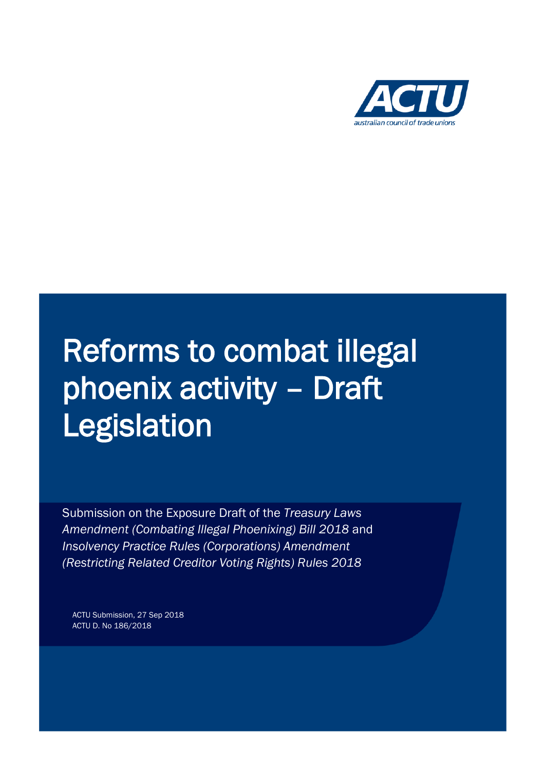

# Reforms to combat illegal phoenix activity – Draft Legislation

Submission on the Exposure Draft of the *Treasury Laws Amendment (Combating Illegal Phoenixing) Bill 2018* and *Insolvency Practice Rules (Corporations) Amendment (Restricting Related Creditor Voting Rights) Rules 2018*

ACTU Submission, 27 Sep 2018 ACTU D. No 186/2018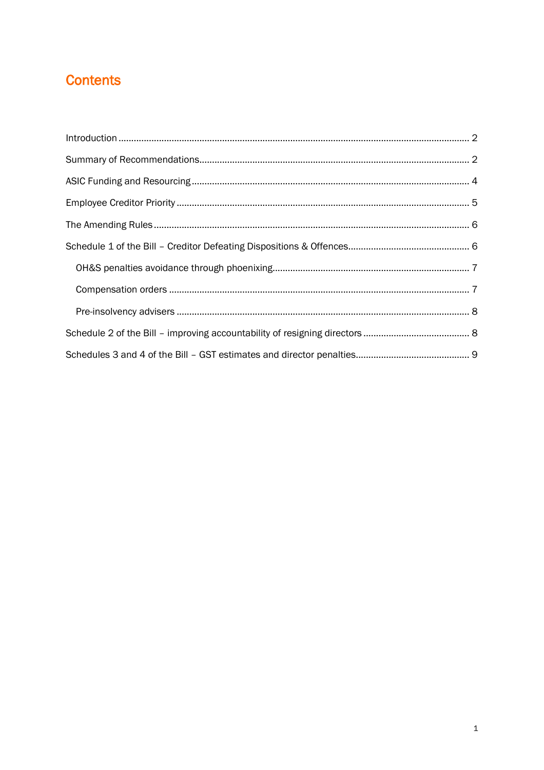# **Contents**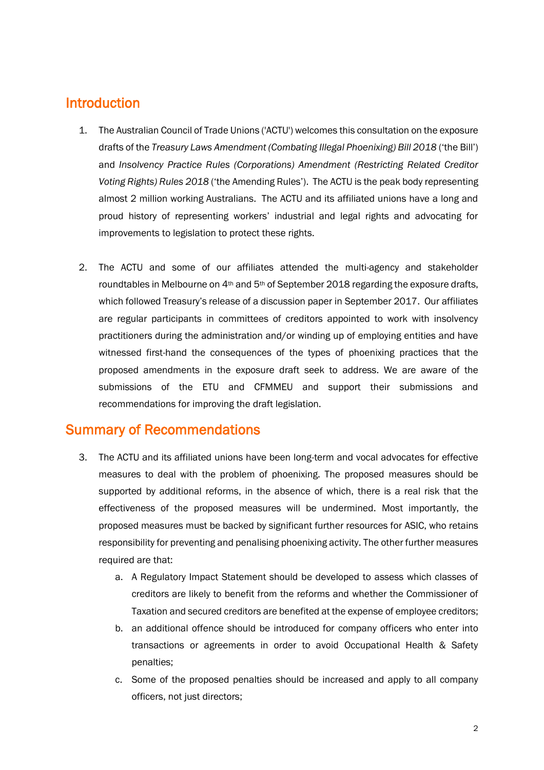## Introduction

- 1. The Australian Council of Trade Unions ('ACTU') welcomes this consultation on the exposure drafts of the *Treasury Laws Amendment (Combating Illegal Phoenixing) Bill 2018* ('the Bill') and *Insolvency Practice Rules (Corporations) Amendment (Restricting Related Creditor Voting Rights) Rules 2018* ('the Amending Rules'). The ACTU is the peak body representing almost 2 million working Australians. The ACTU and its affiliated unions have a long and proud history of representing workers' industrial and legal rights and advocating for improvements to legislation to protect these rights.
- 2. The ACTU and some of our affiliates attended the multi-agency and stakeholder roundtables in Melbourne on 4<sup>th</sup> and 5<sup>th</sup> of September 2018 regarding the exposure drafts, which followed Treasury's release of a discussion paper in September 2017. Our affiliates are regular participants in committees of creditors appointed to work with insolvency practitioners during the administration and/or winding up of employing entities and have witnessed first-hand the consequences of the types of phoenixing practices that the proposed amendments in the exposure draft seek to address. We are aware of the submissions of the ETU and CFMMEU and support their submissions and recommendations for improving the draft legislation.

## Summary of Recommendations

- 3. The ACTU and its affiliated unions have been long-term and vocal advocates for effective measures to deal with the problem of phoenixing. The proposed measures should be supported by additional reforms, in the absence of which, there is a real risk that the effectiveness of the proposed measures will be undermined. Most importantly, the proposed measures must be backed by significant further resources for ASIC, who retains responsibility for preventing and penalising phoenixing activity. The other further measures required are that:
	- a. A Regulatory Impact Statement should be developed to assess which classes of creditors are likely to benefit from the reforms and whether the Commissioner of Taxation and secured creditors are benefited at the expense of employee creditors;
	- b. an additional offence should be introduced for company officers who enter into transactions or agreements in order to avoid Occupational Health & Safety penalties;
	- c. Some of the proposed penalties should be increased and apply to all company officers, not just directors;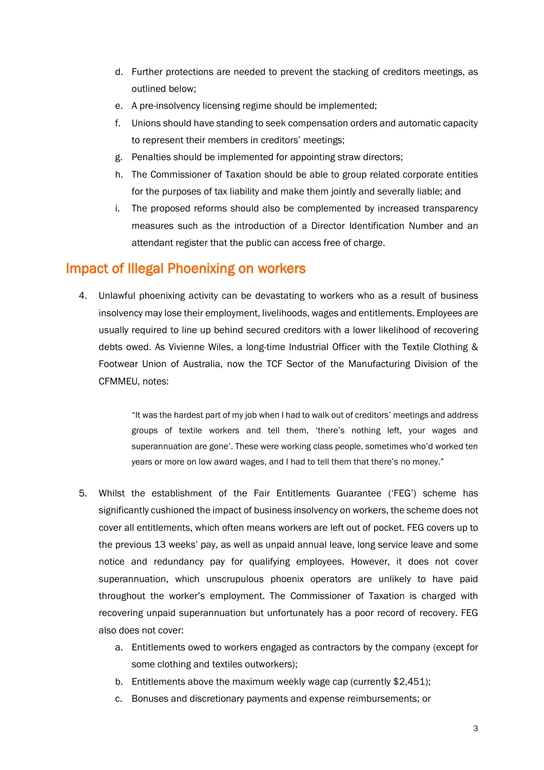- d. Further protections are needed to prevent the stacking of creditors meetings, as outlined below;
- e. A pre-insolvency licensing regime should be implemented;
- f. Unions should have standing to seek compensation orders and automatic capacity to represent their members in creditors' meetings;
- g. Penalties should be implemented for appointing straw directors;
- h. The Commissioner of Taxation should be able to group related corporate entities for the purposes of tax liability and make them jointly and severally liable; and
- i. The proposed reforms should also be complemented by increased transparency measures such as the introduction of a Director Identification Number and an attendant register that the public can access free of charge.

#### Impact of Illegal Phoenixing on workers

4. Unlawful phoenixing activity can be devastating to workers who as a result of business insolvency may lose their employment, livelihoods, wages and entitlements. Employees are usually required to line up behind secured creditors with a lower likelihood of recovering debts owed. As Vivienne Wiles, a long-time Industrial Officer with the Textile Clothing & Footwear Union of Australia, now the TCF Sector of the Manufacturing Division of the CFMMEU, notes:

> "It was the hardest part of my job when I had to walk out of creditors' meetings and address groups of textile workers and tell them, 'there's nothing left, your wages and superannuation are gone'. These were working class people, sometimes who'd worked ten years or more on low award wages, and I had to tell them that there's no money."

- 5. Whilst the establishment of the Fair Entitlements Guarantee ('FEG') scheme has significantly cushioned the impact of business insolvency on workers, the scheme does not cover all entitlements, which often means workers are left out of pocket. FEG covers up to the previous 13 weeks' pay, as well as unpaid annual leave, long service leave and some notice and redundancy pay for qualifying employees. However, it does not cover superannuation, which unscrupulous phoenix operators are unlikely to have paid throughout the worker's employment. The Commissioner of Taxation is charged with recovering unpaid superannuation but unfortunately has a poor record of recovery. FEG also does not cover:
	- a. Entitlements owed to workers engaged as contractors by the company (except for some clothing and textiles outworkers);
	- b. Entitlements above the maximum weekly wage cap (currently \$2,451);
	- c. Bonuses and discretionary payments and expense reimbursements; or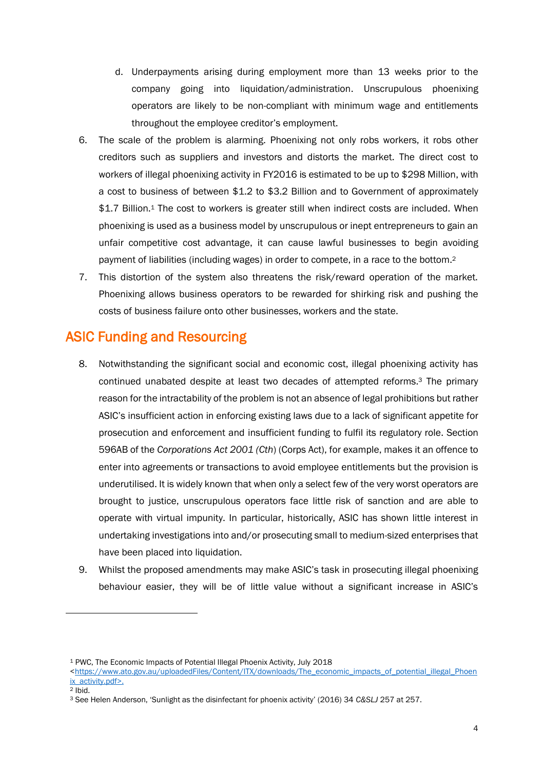- d. Underpayments arising during employment more than 13 weeks prior to the company going into liquidation/administration. Unscrupulous phoenixing operators are likely to be non-compliant with minimum wage and entitlements throughout the employee creditor's employment.
- 6. The scale of the problem is alarming. Phoenixing not only robs workers, it robs other creditors such as suppliers and investors and distorts the market. The direct cost to workers of illegal phoenixing activity in FY2016 is estimated to be up to \$298 Million, with a cost to business of between \$1.2 to \$3.2 Billion and to Government of approximately \$1.7 Billion.<sup>1</sup> The cost to workers is greater still when indirect costs are included. When phoenixing is used as a business model by unscrupulous or inept entrepreneurs to gain an unfair competitive cost advantage, it can cause lawful businesses to begin avoiding payment of liabilities (including wages) in order to compete, in a race to the bottom. 2
- 7. This distortion of the system also threatens the risk/reward operation of the market. Phoenixing allows business operators to be rewarded for shirking risk and pushing the costs of business failure onto other businesses, workers and the state.

# ASIC Funding and Resourcing

- 8. Notwithstanding the significant social and economic cost, illegal phoenixing activity has continued unabated despite at least two decades of attempted reforms.<sup>3</sup> The primary reason for the intractability of the problem is not an absence of legal prohibitions but rather ASIC's insufficient action in enforcing existing laws due to a lack of significant appetite for prosecution and enforcement and insufficient funding to fulfil its regulatory role. Section 596AB of the *Corporations Act 2001 (Cth*) (Corps Act), for example, makes it an offence to enter into agreements or transactions to avoid employee entitlements but the provision is underutilised. It is widely known that when only a select few of the very worst operators are brought to justice, unscrupulous operators face little risk of sanction and are able to operate with virtual impunity. In particular, historically, ASIC has shown little interest in undertaking investigations into and/or prosecuting small to medium-sized enterprises that have been placed into liquidation.
- 9. Whilst the proposed amendments may make ASIC's task in prosecuting illegal phoenixing behaviour easier, they will be of little value without a significant increase in ASIC's

<sup>2</sup> Ibid.

l

<sup>1</sup> PWC, The Economic Impacts of Potential Illegal Phoenix Activity, July 2018

[<sup>&</sup>lt;https://www.ato.gov.au/uploadedFiles/Content/ITX/downloads/The\\_economic\\_impacts\\_of\\_potential\\_illegal\\_Phoen](https://www.ato.gov.au/uploadedFiles/Content/ITX/downloads/The_economic_impacts_of_potential_illegal_Phoenix_activity.pdf) [ix\\_activity.pdf>](https://www.ato.gov.au/uploadedFiles/Content/ITX/downloads/The_economic_impacts_of_potential_illegal_Phoenix_activity.pdf).

<sup>3</sup> See Helen Anderson, 'Sunlight as the disinfectant for phoenix activity' (2016) 34 *C&SLJ* 257 at 257.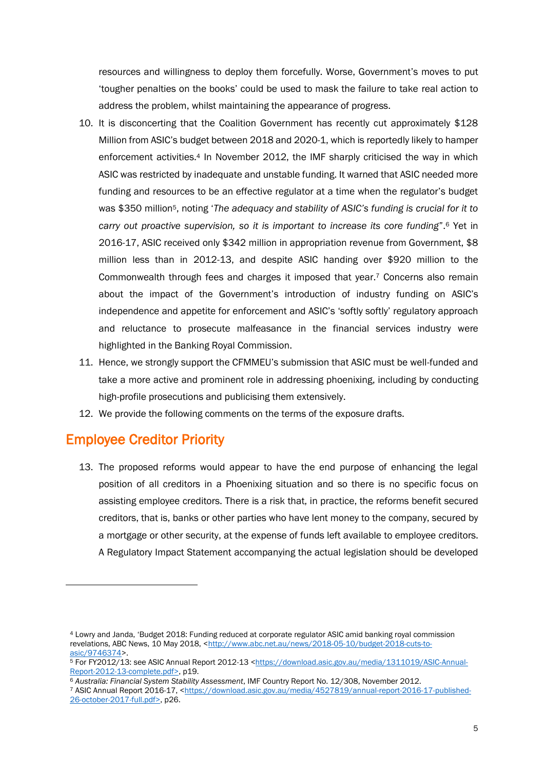resources and willingness to deploy them forcefully. Worse, Government's moves to put 'tougher penalties on the books' could be used to mask the failure to take real action to address the problem, whilst maintaining the appearance of progress.

- 10. It is disconcerting that the Coalition Government has recently cut approximately \$128 Million from ASIC's budget between 2018 and 2020-1, which is reportedly likely to hamper enforcement activities.<sup>4</sup> In November 2012, the IMF sharply criticised the way in which ASIC was restricted by inadequate and unstable funding. It warned that ASIC needed more funding and resources to be an effective regulator at a time when the regulator's budget was \$350 million5, noting '*The adequacy and stability of ASIC's funding is crucial for it to carry out proactive supervision, so it is important to increase its core funding*".<sup>6</sup> Yet in 2016-17, ASIC received only \$342 million in appropriation revenue from Government, \$8 million less than in 2012-13, and despite ASIC handing over \$920 million to the Commonwealth through fees and charges it imposed that year.<sup>7</sup> Concerns also remain about the impact of the Government's introduction of industry funding on ASIC's independence and appetite for enforcement and ASIC's 'softly softly' regulatory approach and reluctance to prosecute malfeasance in the financial services industry were highlighted in the Banking Royal Commission.
- 11. Hence, we strongly support the CFMMEU's submission that ASIC must be well-funded and take a more active and prominent role in addressing phoenixing, including by conducting high-profile prosecutions and publicising them extensively.
- 12. We provide the following comments on the terms of the exposure drafts.

### Employee Creditor Priority

 $\overline{\phantom{a}}$ 

13. The proposed reforms would appear to have the end purpose of enhancing the legal position of all creditors in a Phoenixing situation and so there is no specific focus on assisting employee creditors. There is a risk that, in practice, the reforms benefit secured creditors, that is, banks or other parties who have lent money to the company, secured by a mortgage or other security, at the expense of funds left available to employee creditors. A Regulatory Impact Statement accompanying the actual legislation should be developed

<sup>4</sup> Lowry and Janda, 'Budget 2018: Funding reduced at corporate regulator ASIC amid banking royal commission revelations, ABC News, 10 May 2018, [<http://www.abc.net.au/news/2018-05-10/budget-2018-cuts-to](http://www.abc.net.au/news/2018-05-10/budget-2018-cuts-to-asic/9746374)[asic/9746374>](http://www.abc.net.au/news/2018-05-10/budget-2018-cuts-to-asic/9746374).

<sup>5</sup> For FY2012/13: see ASIC Annual Report 2012-13 [<https://download.asic.gov.au/media/1311019/ASIC-Annual-](https://download.asic.gov.au/media/1311019/ASIC-Annual-Report-2012-13-complete.pdf)[Report-2012-13-complete.pdf>](https://download.asic.gov.au/media/1311019/ASIC-Annual-Report-2012-13-complete.pdf), p19.

<sup>6</sup> *Australia: Financial System Stability Assessment*, IMF Country Report No. 12/308, November 2012.

<sup>7</sup> ASIC Annual Report 2016-17, [<https://download.asic.gov.au/media/4527819/annual-report-2016-17-published-](https://download.asic.gov.au/media/4527819/annual-report-2016-17-published-26-october-2017-full.pdf)[26-october-2017-full.pdf>](https://download.asic.gov.au/media/4527819/annual-report-2016-17-published-26-october-2017-full.pdf), p26.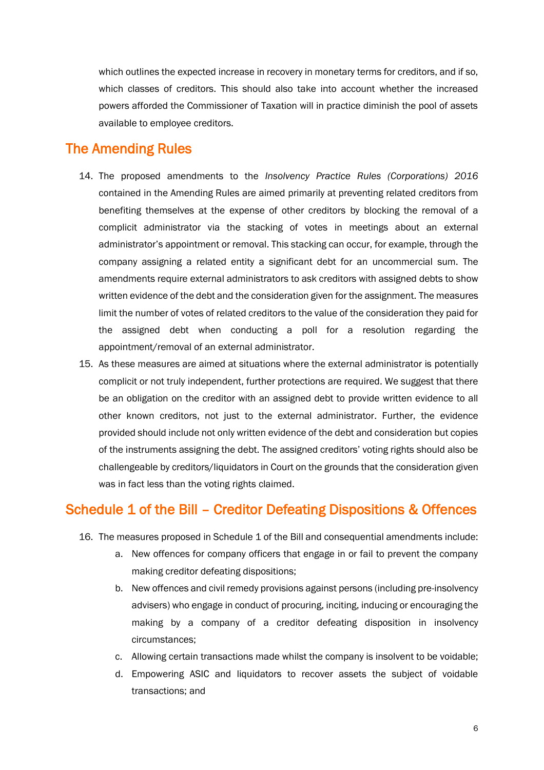which outlines the expected increase in recovery in monetary terms for creditors, and if so, which classes of creditors. This should also take into account whether the increased powers afforded the Commissioner of Taxation will in practice diminish the pool of assets available to employee creditors.

#### The Amending Rules

- 14. The proposed amendments to the *Insolvency Practice Rules (Corporations) 2016* contained in the Amending Rules are aimed primarily at preventing related creditors from benefiting themselves at the expense of other creditors by blocking the removal of a complicit administrator via the stacking of votes in meetings about an external administrator's appointment or removal. This stacking can occur, for example, through the company assigning a related entity a significant debt for an uncommercial sum. The amendments require external administrators to ask creditors with assigned debts to show written evidence of the debt and the consideration given for the assignment. The measures limit the number of votes of related creditors to the value of the consideration they paid for the assigned debt when conducting a poll for a resolution regarding the appointment/removal of an external administrator.
- 15. As these measures are aimed at situations where the external administrator is potentially complicit or not truly independent, further protections are required. We suggest that there be an obligation on the creditor with an assigned debt to provide written evidence to all other known creditors, not just to the external administrator. Further, the evidence provided should include not only written evidence of the debt and consideration but copies of the instruments assigning the debt. The assigned creditors' voting rights should also be challengeable by creditors/liquidators in Court on the grounds that the consideration given was in fact less than the voting rights claimed.

### Schedule 1 of the Bill – Creditor Defeating Dispositions & Offences

- 16. The measures proposed in Schedule 1 of the Bill and consequential amendments include:
	- a. New offences for company officers that engage in or fail to prevent the company making creditor defeating dispositions;
	- b. New offences and civil remedy provisions against persons (including pre-insolvency advisers) who engage in conduct of procuring, inciting, inducing or encouraging the making by a company of a creditor defeating disposition in insolvency circumstances;
	- c. Allowing certain transactions made whilst the company is insolvent to be voidable;
	- d. Empowering ASIC and liquidators to recover assets the subject of voidable transactions; and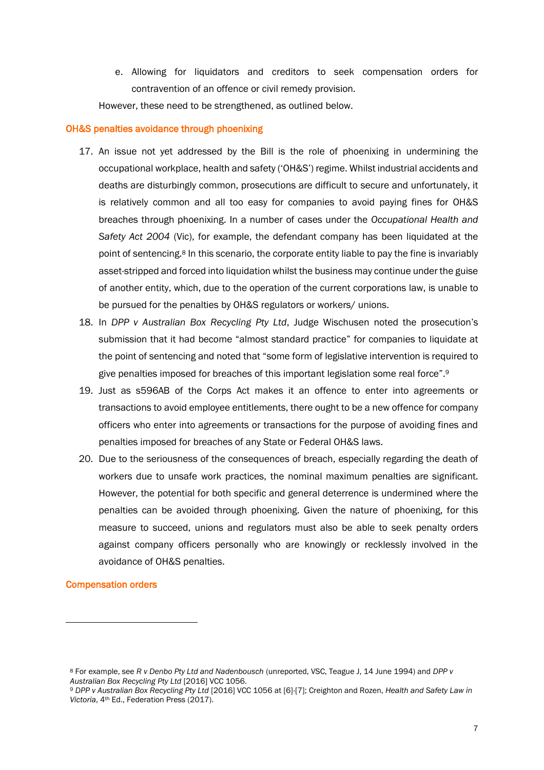e. Allowing for liquidators and creditors to seek compensation orders for contravention of an offence or civil remedy provision.

However, these need to be strengthened, as outlined below.

#### OH&S penalties avoidance through phoenixing

- 17. An issue not yet addressed by the Bill is the role of phoenixing in undermining the occupational workplace, health and safety ('OH&S') regime. Whilst industrial accidents and deaths are disturbingly common, prosecutions are difficult to secure and unfortunately, it is relatively common and all too easy for companies to avoid paying fines for OH&S breaches through phoenixing. In a number of cases under the *Occupational Health and Safety Act 2004* (Vic), for example, the defendant company has been liquidated at the point of sentencing.<sup>8</sup> In this scenario, the corporate entity liable to pay the fine is invariably asset-stripped and forced into liquidation whilst the business may continue under the guise of another entity, which, due to the operation of the current corporations law, is unable to be pursued for the penalties by OH&S regulators or workers/ unions.
- 18. In *DPP v Australian Box Recycling Pty Ltd*, Judge Wischusen noted the prosecution's submission that it had become "almost standard practice" for companies to liquidate at the point of sentencing and noted that "some form of legislative intervention is required to give penalties imposed for breaches of this important legislation some real force".<sup>9</sup>
- 19. Just as s596AB of the Corps Act makes it an offence to enter into agreements or transactions to avoid employee entitlements, there ought to be a new offence for company officers who enter into agreements or transactions for the purpose of avoiding fines and penalties imposed for breaches of any State or Federal OH&S laws.
- 20. Due to the seriousness of the consequences of breach, especially regarding the death of workers due to unsafe work practices, the nominal maximum penalties are significant. However, the potential for both specific and general deterrence is undermined where the penalties can be avoided through phoenixing. Given the nature of phoenixing, for this measure to succeed, unions and regulators must also be able to seek penalty orders against company officers personally who are knowingly or recklessly involved in the avoidance of OH&S penalties.

#### Compensation orders

 $\overline{\phantom{a}}$ 

<sup>8</sup> For example, see *R v Denbo Pty Ltd and Nadenbousch* (unreported, VSC, Teague J, 14 June 1994) and *DPP v Australian Box Recycling Pty Ltd* [2016] VCC 1056.

<sup>9</sup> *DPP v Australian Box Recycling Pty Ltd* [2016] VCC 1056 at [6]-[7]; Creighton and Rozen, *Health and Safety Law in Victoria*, 4th Ed., Federation Press (2017).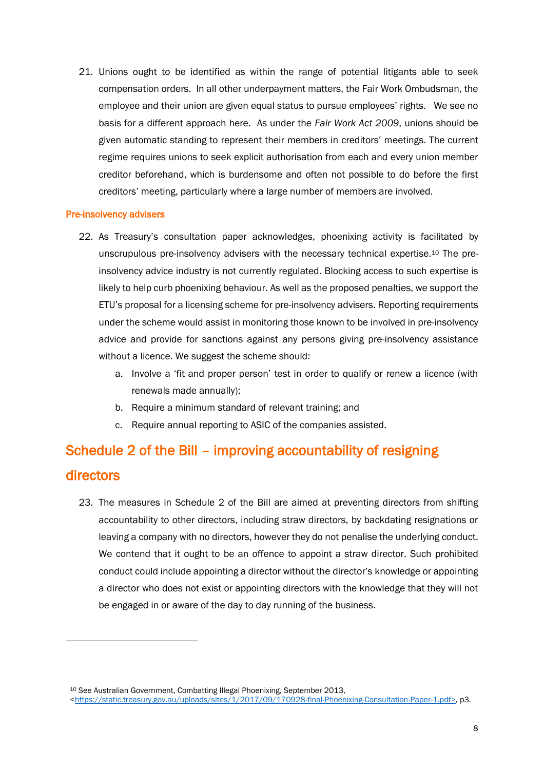21. Unions ought to be identified as within the range of potential litigants able to seek compensation orders. In all other underpayment matters, the Fair Work Ombudsman, the employee and their union are given equal status to pursue employees' rights. We see no basis for a different approach here. As under the *Fair Work Act 2009*, unions should be given automatic standing to represent their members in creditors' meetings. The current regime requires unions to seek explicit authorisation from each and every union member creditor beforehand, which is burdensome and often not possible to do before the first creditors' meeting, particularly where a large number of members are involved.

#### Pre-insolvency advisers

 $\overline{\phantom{a}}$ 

- 22. As Treasury's consultation paper acknowledges, phoenixing activity is facilitated by unscrupulous pre-insolvency advisers with the necessary technical expertise.<sup>10</sup> The preinsolvency advice industry is not currently regulated. Blocking access to such expertise is likely to help curb phoenixing behaviour. As well as the proposed penalties, we support the ETU's proposal for a licensing scheme for pre-insolvency advisers. Reporting requirements under the scheme would assist in monitoring those known to be involved in pre-insolvency advice and provide for sanctions against any persons giving pre-insolvency assistance without a licence. We suggest the scheme should:
	- a. Involve a 'fit and proper person' test in order to qualify or renew a licence (with renewals made annually);
	- b. Require a minimum standard of relevant training; and
	- c. Require annual reporting to ASIC of the companies assisted.

# Schedule 2 of the Bill – improving accountability of resigning directors

23. The measures in Schedule 2 of the Bill are aimed at preventing directors from shifting accountability to other directors, including straw directors, by backdating resignations or leaving a company with no directors, however they do not penalise the underlying conduct. We contend that it ought to be an offence to appoint a straw director. Such prohibited conduct could include appointing a director without the director's knowledge or appointing a director who does not exist or appointing directors with the knowledge that they will not be engaged in or aware of the day to day running of the business.

<sup>10</sup> See Australian Government, Combatting Illegal Phoenixing, September 2013,

[<sup>&</sup>lt;https://static.treasury.gov.au/uploads/sites/1/2017/09/170928-final-Phoenixing-Consultation-Paper-1.pdf>](https://static.treasury.gov.au/uploads/sites/1/2017/09/170928-final-Phoenixing-Consultation-Paper-1.pdf), p3.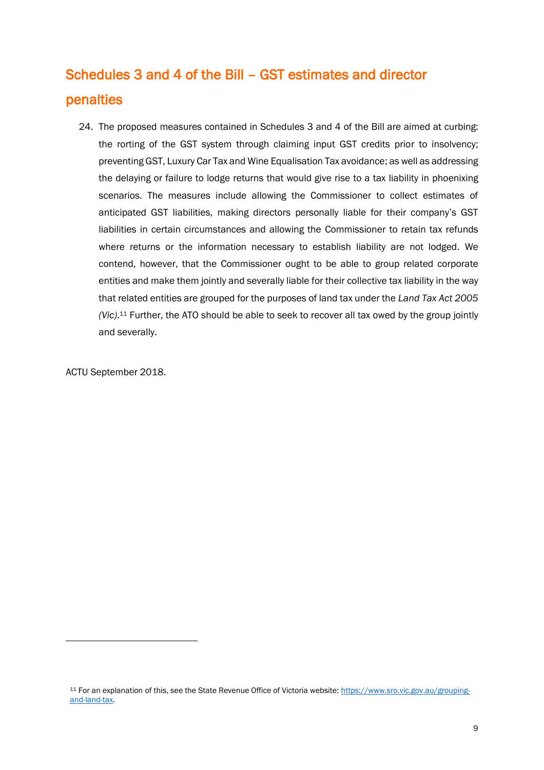# Schedules 3 and 4 of the Bill – GST estimates and director penalties

24. The proposed measures contained in Schedules 3 and 4 of the Bill are aimed at curbing: the rorting of the GST system through claiming input GST credits prior to insolvency; preventing GST, Luxury Car Tax and Wine Equalisation Tax avoidance; as well as addressing the delaying or failure to lodge returns that would give rise to a tax liability in phoenixing scenarios. The measures include allowing the Commissioner to collect estimates of anticipated GST liabilities, making directors personally liable for their company's GST liabilities in certain circumstances and allowing the Commissioner to retain tax refunds where returns or the information necessary to establish liability are not lodged. We contend, however, that the Commissioner ought to be able to group related corporate entities and make them jointly and severally liable for their collective tax liability in the way that related entities are grouped for the purposes of land tax under the *Land Tax Act 2005 (Vic)*. <sup>11</sup> Further, the ATO should be able to seek to recover all tax owed by the group jointly and severally.

ACTU September 2018.

 $\overline{\phantom{a}}$ 

<sup>11</sup> For an explanation of this, see the State Revenue Office of Victoria website: [https://www.sro.vic.gov.au/grouping](https://www.sro.vic.gov.au/grouping-and-land-tax)[and-land-tax.](https://www.sro.vic.gov.au/grouping-and-land-tax)